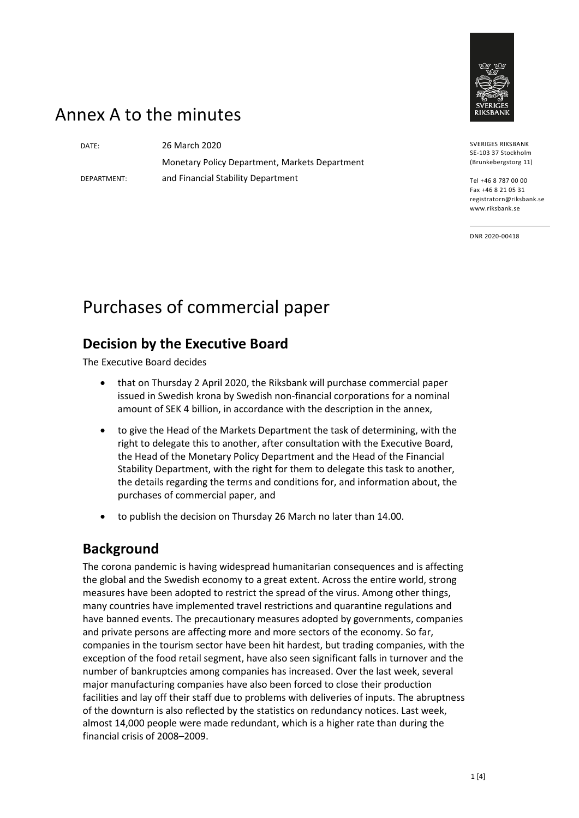

## Annex A to the minutes

DEPARTMENT:

DATE: 26 March 2020 Monetary Policy Department, Markets Department and Financial Stability Department

SVERIGES RIKSBANK SE-103 37 Stockholm (Brunkebergstorg 11)

Tel +46 8 787 00 00 Fax +46 8 21 05 31 registratorn@riksbank.se www.riksbank.se

DNR 2020-00418

# Purchases of commercial paper

#### **Decision by the Executive Board**

The Executive Board decides

- that on Thursday 2 April 2020, the Riksbank will purchase commercial paper issued in Swedish krona by Swedish non-financial corporations for a nominal amount of SEK 4 billion, in accordance with the description in the annex,
- to give the Head of the Markets Department the task of determining, with the right to delegate this to another, after consultation with the Executive Board, the Head of the Monetary Policy Department and the Head of the Financial Stability Department, with the right for them to delegate this task to another, the details regarding the terms and conditions for, and information about, the purchases of commercial paper, and
- to publish the decision on Thursday 26 March no later than 14.00.

#### **Background**

The corona pandemic is having widespread humanitarian consequences and is affecting the global and the Swedish economy to a great extent. Across the entire world, strong measures have been adopted to restrict the spread of the virus. Among other things, many countries have implemented travel restrictions and quarantine regulations and have banned events. The precautionary measures adopted by governments, companies and private persons are affecting more and more sectors of the economy. So far, companies in the tourism sector have been hit hardest, but trading companies, with the exception of the food retail segment, have also seen significant falls in turnover and the number of bankruptcies among companies has increased. Over the last week, several major manufacturing companies have also been forced to close their production facilities and lay off their staff due to problems with deliveries of inputs. The abruptness of the downturn is also reflected by the statistics on redundancy notices. Last week, almost 14,000 people were made redundant, which is a higher rate than during the financial crisis of 2008–2009.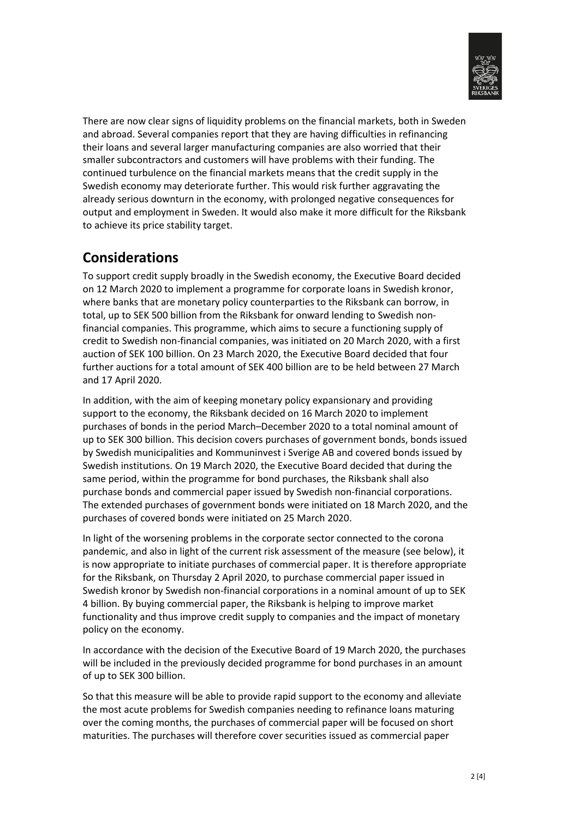

There are now clear signs of liquidity problems on the financial markets, both in Sweden and abroad. Several companies report that they are having difficulties in refinancing their loans and several larger manufacturing companies are also worried that their smaller subcontractors and customers will have problems with their funding. The continued turbulence on the financial markets means that the credit supply in the Swedish economy may deteriorate further. This would risk further aggravating the already serious downturn in the economy, with prolonged negative consequences for output and employment in Sweden. It would also make it more difficult for the Riksbank to achieve its price stability target.

#### **Considerations**

To support credit supply broadly in the Swedish economy, the Executive Board decided on 12 March 2020 to implement a programme for corporate loans in Swedish kronor, where banks that are monetary policy counterparties to the Riksbank can borrow, in total, up to SEK 500 billion from the Riksbank for onward lending to Swedish nonfinancial companies. This programme, which aims to secure a functioning supply of credit to Swedish non-financial companies, was initiated on 20 March 2020, with a first auction of SEK 100 billion. On 23 March 2020, the Executive Board decided that four further auctions for a total amount of SEK 400 billion are to be held between 27 March and 17 April 2020.

In addition, with the aim of keeping monetary policy expansionary and providing support to the economy, the Riksbank decided on 16 March 2020 to implement purchases of bonds in the period March–December 2020 to a total nominal amount of up to SEK 300 billion. This decision covers purchases of government bonds, bonds issued by Swedish municipalities and Kommuninvest i Sverige AB and covered bonds issued by Swedish institutions. On 19 March 2020, the Executive Board decided that during the same period, within the programme for bond purchases, the Riksbank shall also purchase bonds and commercial paper issued by Swedish non-financial corporations. The extended purchases of government bonds were initiated on 18 March 2020, and the purchases of covered bonds were initiated on 25 March 2020.

In light of the worsening problems in the corporate sector connected to the corona pandemic, and also in light of the current risk assessment of the measure (see below), it is now appropriate to initiate purchases of commercial paper. It is therefore appropriate for the Riksbank, on Thursday 2 April 2020, to purchase commercial paper issued in Swedish kronor by Swedish non-financial corporations in a nominal amount of up to SEK 4 billion. By buying commercial paper, the Riksbank is helping to improve market functionality and thus improve credit supply to companies and the impact of monetary policy on the economy.

In accordance with the decision of the Executive Board of 19 March 2020, the purchases will be included in the previously decided programme for bond purchases in an amount of up to SEK 300 billion.

So that this measure will be able to provide rapid support to the economy and alleviate the most acute problems for Swedish companies needing to refinance loans maturing over the coming months, the purchases of commercial paper will be focused on short maturities. The purchases will therefore cover securities issued as commercial paper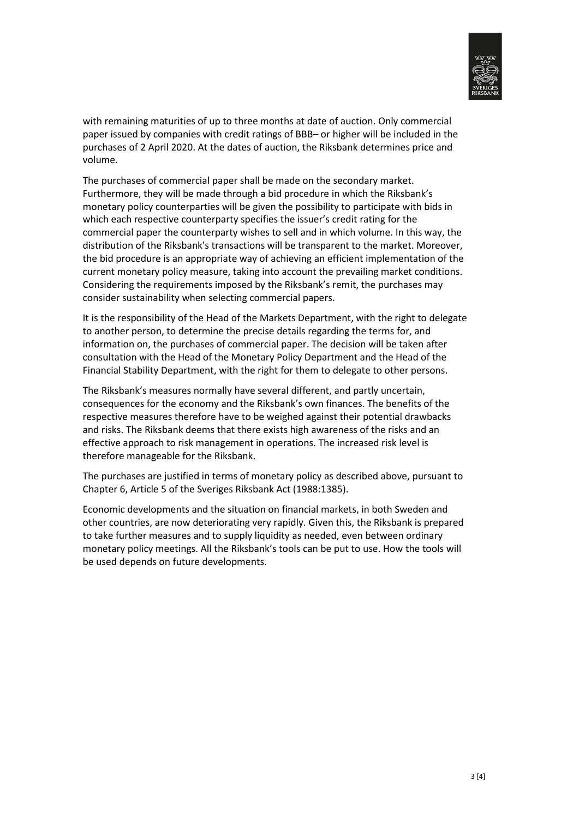

with remaining maturities of up to three months at date of auction. Only commercial paper issued by companies with credit ratings of BBB– or higher will be included in the purchases of 2 April 2020. At the dates of auction, the Riksbank determines price and volume.

The purchases of commercial paper shall be made on the secondary market. Furthermore, they will be made through a bid procedure in which the Riksbank's monetary policy counterparties will be given the possibility to participate with bids in which each respective counterparty specifies the issuer's credit rating for the commercial paper the counterparty wishes to sell and in which volume. In this way, the distribution of the Riksbank's transactions will be transparent to the market. Moreover, the bid procedure is an appropriate way of achieving an efficient implementation of the current monetary policy measure, taking into account the prevailing market conditions. Considering the requirements imposed by the Riksbank's remit, the purchases may consider sustainability when selecting commercial papers.

It is the responsibility of the Head of the Markets Department, with the right to delegate to another person, to determine the precise details regarding the terms for, and information on, the purchases of commercial paper. The decision will be taken after consultation with the Head of the Monetary Policy Department and the Head of the Financial Stability Department, with the right for them to delegate to other persons.

The Riksbank's measures normally have several different, and partly uncertain, consequences for the economy and the Riksbank's own finances. The benefits of the respective measures therefore have to be weighed against their potential drawbacks and risks. The Riksbank deems that there exists high awareness of the risks and an effective approach to risk management in operations. The increased risk level is therefore manageable for the Riksbank.

The purchases are justified in terms of monetary policy as described above, pursuant to Chapter 6, Article 5 of the Sveriges Riksbank Act (1988:1385).

Economic developments and the situation on financial markets, in both Sweden and other countries, are now deteriorating very rapidly. Given this, the Riksbank is prepared to take further measures and to supply liquidity as needed, even between ordinary monetary policy meetings. All the Riksbank's tools can be put to use. How the tools will be used depends on future developments.